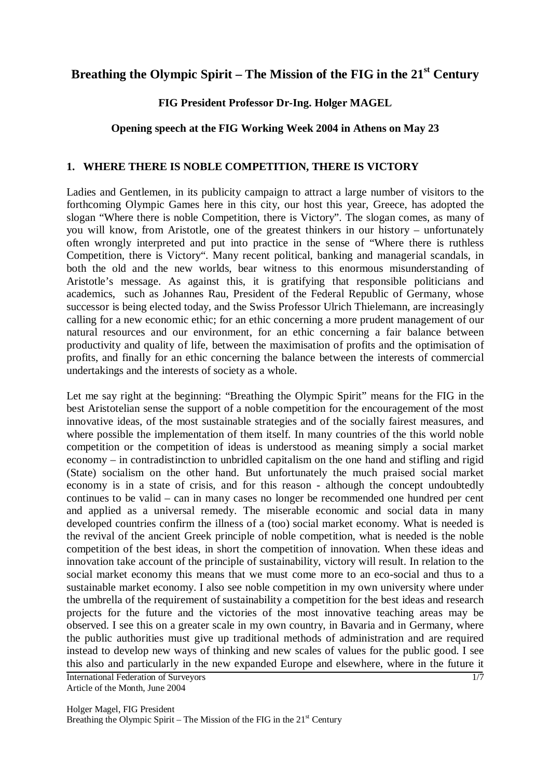# Breathing the Olympic Spirit – The Mission of the FIG in the 21<sup>st</sup> Century

### **FIG President Professor Dr-Ing. Holger MAGEL**

## **Opening speech at the FIG Working Week 2004 in Athens on May 23**

#### **1. WHERE THERE IS NOBLE COMPETITION, THERE IS VICTORY**

Ladies and Gentlemen, in its publicity campaign to attract a large number of visitors to the forthcoming Olympic Games here in this city, our host this year, Greece, has adopted the slogan "Where there is noble Competition, there is Victory". The slogan comes, as many of you will know, from Aristotle, one of the greatest thinkers in our history – unfortunately often wrongly interpreted and put into practice in the sense of "Where there is ruthless Competition, there is Victory". Many recent political, banking and managerial scandals, in both the old and the new worlds, bear witness to this enormous misunderstanding of Aristotle's message. As against this, it is gratifying that responsible politicians and academics, such as Johannes Rau, President of the Federal Republic of Germany, whose successor is being elected today, and the Swiss Professor Ulrich Thielemann, are increasingly calling for a new economic ethic; for an ethic concerning a more prudent management of our natural resources and our environment, for an ethic concerning a fair balance between productivity and quality of life, between the maximisation of profits and the optimisation of profits, and finally for an ethic concerning the balance between the interests of commercial undertakings and the interests of society as a whole.

International Federation of Surveyors Let me say right at the beginning: "Breathing the Olympic Spirit" means for the FIG in the best Aristotelian sense the support of a noble competition for the encouragement of the most innovative ideas, of the most sustainable strategies and of the socially fairest measures, and where possible the implementation of them itself. In many countries of the this world noble competition or the competition of ideas is understood as meaning simply a social market economy – in contradistinction to unbridled capitalism on the one hand and stifling and rigid (State) socialism on the other hand. But unfortunately the much praised social market economy is in a state of crisis, and for this reason - although the concept undoubtedly continues to be valid – can in many cases no longer be recommended one hundred per cent and applied as a universal remedy. The miserable economic and social data in many developed countries confirm the illness of a (too) social market economy. What is needed is the revival of the ancient Greek principle of noble competition, what is needed is the noble competition of the best ideas, in short the competition of innovation. When these ideas and innovation take account of the principle of sustainability, victory will result. In relation to the social market economy this means that we must come more to an eco-social and thus to a sustainable market economy. I also see noble competition in my own university where under the umbrella of the requirement of sustainability a competition for the best ideas and research projects for the future and the victories of the most innovative teaching areas may be observed. I see this on a greater scale in my own country, in Bavaria and in Germany, where the public authorities must give up traditional methods of administration and are required instead to develop new ways of thinking and new scales of values for the public good. I see this also and particularly in the new expanded Europe and elsewhere, where in the future it

Article of the Month, June 2004

1/7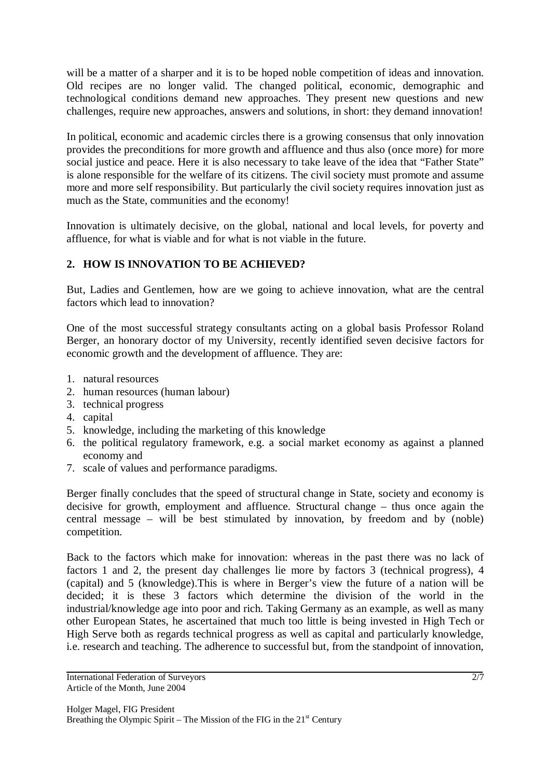will be a matter of a sharper and it is to be hoped noble competition of ideas and innovation. Old recipes are no longer valid. The changed political, economic, demographic and technological conditions demand new approaches. They present new questions and new challenges, require new approaches, answers and solutions, in short: they demand innovation!

In political, economic and academic circles there is a growing consensus that only innovation provides the preconditions for more growth and affluence and thus also (once more) for more social justice and peace. Here it is also necessary to take leave of the idea that "Father State" is alone responsible for the welfare of its citizens. The civil society must promote and assume more and more self responsibility. But particularly the civil society requires innovation just as much as the State, communities and the economy!

Innovation is ultimately decisive, on the global, national and local levels, for poverty and affluence, for what is viable and for what is not viable in the future.

# **2. HOW IS INNOVATION TO BE ACHIEVED?**

But, Ladies and Gentlemen, how are we going to achieve innovation, what are the central factors which lead to innovation?

One of the most successful strategy consultants acting on a global basis Professor Roland Berger, an honorary doctor of my University, recently identified seven decisive factors for economic growth and the development of affluence. They are:

- 1. natural resources
- 2. human resources (human labour)
- 3. technical progress
- 4. capital
- 5. knowledge, including the marketing of this knowledge
- 6. the political regulatory framework, e.g. a social market economy as against a planned economy and
- 7. scale of values and performance paradigms.

Berger finally concludes that the speed of structural change in State, society and economy is decisive for growth, employment and affluence. Structural change – thus once again the central message – will be best stimulated by innovation, by freedom and by (noble) competition.

Back to the factors which make for innovation: whereas in the past there was no lack of factors 1 and 2, the present day challenges lie more by factors 3 (technical progress), 4 (capital) and 5 (knowledge).This is where in Berger's view the future of a nation will be decided; it is these 3 factors which determine the division of the world in the industrial/knowledge age into poor and rich. Taking Germany as an example, as well as many other European States, he ascertained that much too little is being invested in High Tech or High Serve both as regards technical progress as well as capital and particularly knowledge, i.e. research and teaching. The adherence to successful but, from the standpoint of innovation,

International Federation of Surveyors Article of the Month, June 2004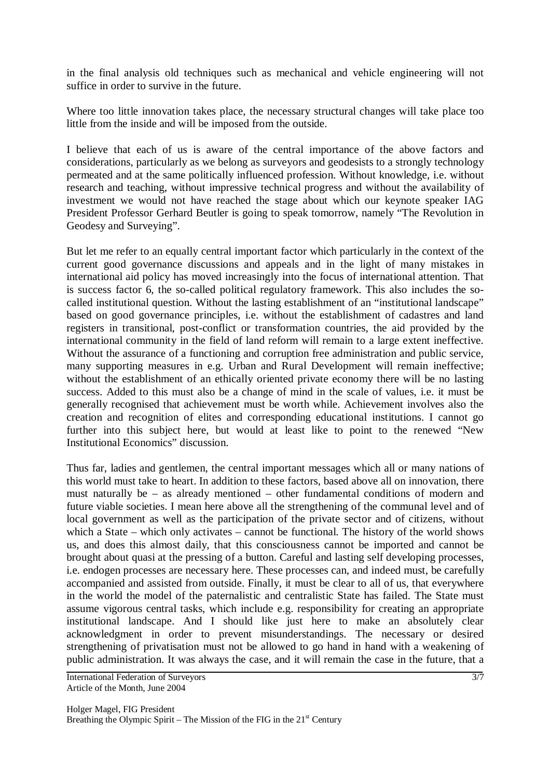in the final analysis old techniques such as mechanical and vehicle engineering will not suffice in order to survive in the future.

Where too little innovation takes place, the necessary structural changes will take place too little from the inside and will be imposed from the outside.

I believe that each of us is aware of the central importance of the above factors and considerations, particularly as we belong as surveyors and geodesists to a strongly technology permeated and at the same politically influenced profession. Without knowledge, i.e. without research and teaching, without impressive technical progress and without the availability of investment we would not have reached the stage about which our keynote speaker IAG President Professor Gerhard Beutler is going to speak tomorrow, namely "The Revolution in Geodesy and Surveying".

But let me refer to an equally central important factor which particularly in the context of the current good governance discussions and appeals and in the light of many mistakes in international aid policy has moved increasingly into the focus of international attention. That is success factor 6, the so-called political regulatory framework. This also includes the socalled institutional question. Without the lasting establishment of an "institutional landscape" based on good governance principles, i.e. without the establishment of cadastres and land registers in transitional, post-conflict or transformation countries, the aid provided by the international community in the field of land reform will remain to a large extent ineffective. Without the assurance of a functioning and corruption free administration and public service, many supporting measures in e.g. Urban and Rural Development will remain ineffective; without the establishment of an ethically oriented private economy there will be no lasting success. Added to this must also be a change of mind in the scale of values, i.e. it must be generally recognised that achievement must be worth while. Achievement involves also the creation and recognition of elites and corresponding educational institutions. I cannot go further into this subject here, but would at least like to point to the renewed "New Institutional Economics" discussion.

Thus far, ladies and gentlemen, the central important messages which all or many nations of this world must take to heart. In addition to these factors, based above all on innovation, there must naturally be – as already mentioned – other fundamental conditions of modern and future viable societies. I mean here above all the strengthening of the communal level and of local government as well as the participation of the private sector and of citizens, without which a State – which only activates – cannot be functional. The history of the world shows us, and does this almost daily, that this consciousness cannot be imported and cannot be brought about quasi at the pressing of a button. Careful and lasting self developing processes, i.e. endogen processes are necessary here. These processes can, and indeed must, be carefully accompanied and assisted from outside. Finally, it must be clear to all of us, that everywhere in the world the model of the paternalistic and centralistic State has failed. The State must assume vigorous central tasks, which include e.g. responsibility for creating an appropriate institutional landscape. And I should like just here to make an absolutely clear acknowledgment in order to prevent misunderstandings. The necessary or desired strengthening of privatisation must not be allowed to go hand in hand with a weakening of public administration. It was always the case, and it will remain the case in the future, that a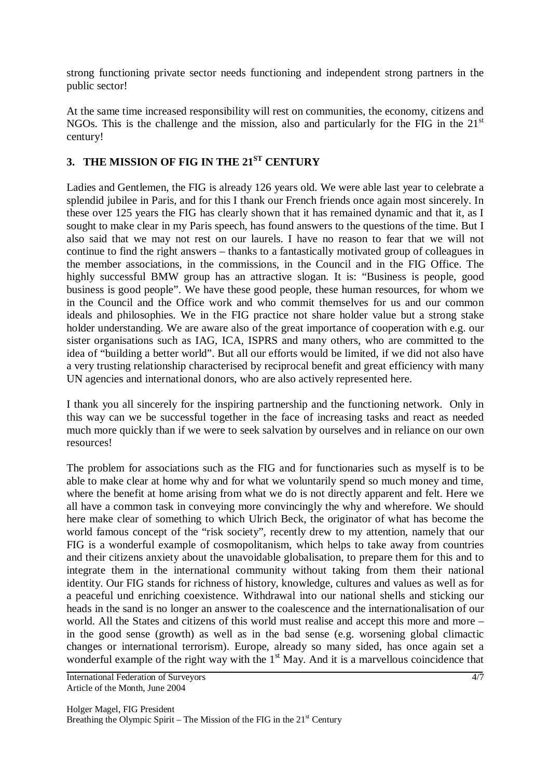strong functioning private sector needs functioning and independent strong partners in the public sector!

At the same time increased responsibility will rest on communities, the economy, citizens and NGOs. This is the challenge and the mission, also and particularly for the FIG in the  $21<sup>st</sup>$ century!

# 3. THE MISSION OF FIG IN THE 21<sup>ST</sup> CENTURY

Ladies and Gentlemen, the FIG is already 126 years old. We were able last year to celebrate a splendid jubilee in Paris, and for this I thank our French friends once again most sincerely. In these over 125 years the FIG has clearly shown that it has remained dynamic and that it, as I sought to make clear in my Paris speech, has found answers to the questions of the time. But I also said that we may not rest on our laurels. I have no reason to fear that we will not continue to find the right answers – thanks to a fantastically motivated group of colleagues in the member associations, in the commissions, in the Council and in the FIG Office. The highly successful BMW group has an attractive slogan. It is: "Business is people, good business is good people". We have these good people, these human resources, for whom we in the Council and the Office work and who commit themselves for us and our common ideals and philosophies. We in the FIG practice not share holder value but a strong stake holder understanding. We are aware also of the great importance of cooperation with e.g. our sister organisations such as IAG, ICA, ISPRS and many others, who are committed to the idea of "building a better world". But all our efforts would be limited, if we did not also have a very trusting relationship characterised by reciprocal benefit and great efficiency with many UN agencies and international donors, who are also actively represented here.

I thank you all sincerely for the inspiring partnership and the functioning network. Only in this way can we be successful together in the face of increasing tasks and react as needed much more quickly than if we were to seek salvation by ourselves and in reliance on our own resources!

The problem for associations such as the FIG and for functionaries such as myself is to be able to make clear at home why and for what we voluntarily spend so much money and time, where the benefit at home arising from what we do is not directly apparent and felt. Here we all have a common task in conveying more convincingly the why and wherefore. We should here make clear of something to which Ulrich Beck, the originator of what has become the world famous concept of the "risk society", recently drew to my attention, namely that our FIG is a wonderful example of cosmopolitanism, which helps to take away from countries and their citizens anxiety about the unavoidable globalisation, to prepare them for this and to integrate them in the international community without taking from them their national identity. Our FIG stands for richness of history, knowledge, cultures and values as well as for a peaceful und enriching coexistence. Withdrawal into our national shells and sticking our heads in the sand is no longer an answer to the coalescence and the internationalisation of our world. All the States and citizens of this world must realise and accept this more and more – in the good sense (growth) as well as in the bad sense (e.g. worsening global climactic changes or international terrorism). Europe, already so many sided, has once again set a wonderful example of the right way with the  $1<sup>st</sup>$  May. And it is a marvellous coincidence that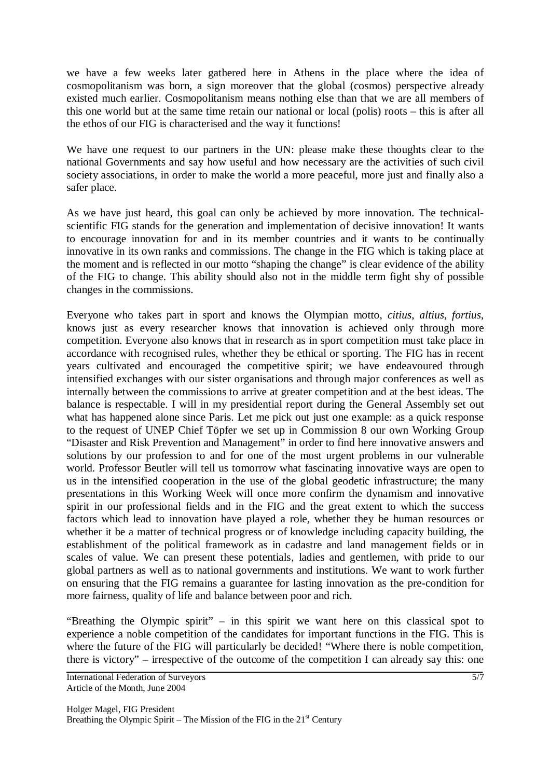we have a few weeks later gathered here in Athens in the place where the idea of cosmopolitanism was born, a sign moreover that the global (cosmos) perspective already existed much earlier. Cosmopolitanism means nothing else than that we are all members of this one world but at the same time retain our national or local (polis) roots – this is after all the ethos of our FIG is characterised and the way it functions!

We have one request to our partners in the UN: please make these thoughts clear to the national Governments and say how useful and how necessary are the activities of such civil society associations, in order to make the world a more peaceful, more just and finally also a safer place.

As we have just heard, this goal can only be achieved by more innovation. The technicalscientific FIG stands for the generation and implementation of decisive innovation! It wants to encourage innovation for and in its member countries and it wants to be continually innovative in its own ranks and commissions. The change in the FIG which is taking place at the moment and is reflected in our motto "shaping the change" is clear evidence of the ability of the FIG to change. This ability should also not in the middle term fight shy of possible changes in the commissions.

Everyone who takes part in sport and knows the Olympian motto, *citius*, *altius*, *fortius*, knows just as every researcher knows that innovation is achieved only through more competition. Everyone also knows that in research as in sport competition must take place in accordance with recognised rules, whether they be ethical or sporting. The FIG has in recent years cultivated and encouraged the competitive spirit; we have endeavoured through intensified exchanges with our sister organisations and through major conferences as well as internally between the commissions to arrive at greater competition and at the best ideas. The balance is respectable. I will in my presidential report during the General Assembly set out what has happened alone since Paris. Let me pick out just one example: as a quick response to the request of UNEP Chief Töpfer we set up in Commission 8 our own Working Group "Disaster and Risk Prevention and Management" in order to find here innovative answers and solutions by our profession to and for one of the most urgent problems in our vulnerable world. Professor Beutler will tell us tomorrow what fascinating innovative ways are open to us in the intensified cooperation in the use of the global geodetic infrastructure; the many presentations in this Working Week will once more confirm the dynamism and innovative spirit in our professional fields and in the FIG and the great extent to which the success factors which lead to innovation have played a role, whether they be human resources or whether it be a matter of technical progress or of knowledge including capacity building, the establishment of the political framework as in cadastre and land management fields or in scales of value. We can present these potentials, ladies and gentlemen, with pride to our global partners as well as to national governments and institutions. We want to work further on ensuring that the FIG remains a guarantee for lasting innovation as the pre-condition for more fairness, quality of life and balance between poor and rich.

"Breathing the Olympic spirit" – in this spirit we want here on this classical spot to experience a noble competition of the candidates for important functions in the FIG. This is where the future of the FIG will particularly be decided! "Where there is noble competition, there is victory" – irrespective of the outcome of the competition I can already say this: one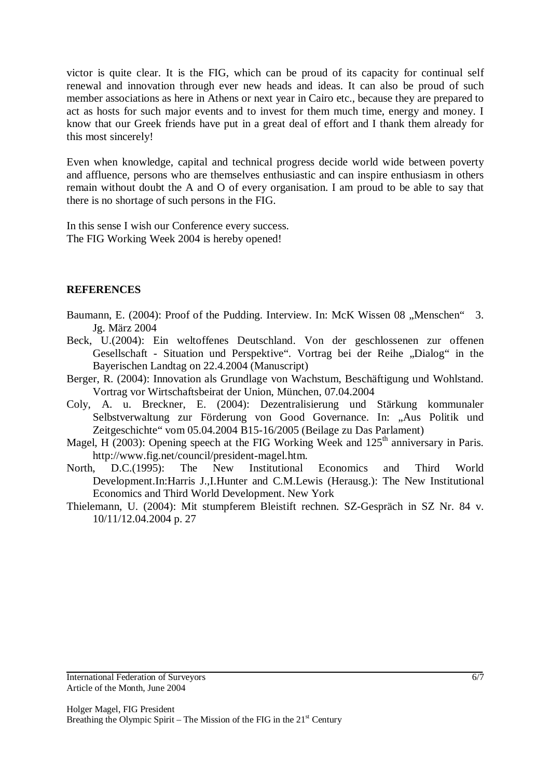victor is quite clear. It is the FIG, which can be proud of its capacity for continual self renewal and innovation through ever new heads and ideas. It can also be proud of such member associations as here in Athens or next year in Cairo etc., because they are prepared to act as hosts for such major events and to invest for them much time, energy and money. I know that our Greek friends have put in a great deal of effort and I thank them already for this most sincerely!

Even when knowledge, capital and technical progress decide world wide between poverty and affluence, persons who are themselves enthusiastic and can inspire enthusiasm in others remain without doubt the A and O of every organisation. I am proud to be able to say that there is no shortage of such persons in the FIG.

In this sense I wish our Conference every success. The FIG Working Week 2004 is hereby opened!

#### **REFERENCES**

- Baumann, E. (2004): Proof of the Pudding. Interview. In: McK Wissen 08 "Menschen" 3. Jg. März 2004
- Beck, U.(2004): Ein weltoffenes Deutschland. Von der geschlossenen zur offenen Gesellschaft - Situation und Perspektive". Vortrag bei der Reihe "Dialog" in the Bayerischen Landtag on 22.4.2004 (Manuscript)
- Berger, R. (2004): Innovation als Grundlage von Wachstum, Beschäftigung und Wohlstand. Vortrag vor Wirtschaftsbeirat der Union, München, 07.04.2004
- Coly, A. u. Breckner, E. (2004): Dezentralisierung und Stärkung kommunaler Selbstverwaltung zur Förderung von Good Governance. In: "Aus Politik und Zeitgeschichte" vom 05.04.2004 B15-16/2005 (Beilage zu Das Parlament)
- Magel, H  $(2003)$ : Opening speech at the FIG Working Week and  $125<sup>th</sup>$  anniversary in Paris. http://www.fig.net/council/president-magel.htm.
- North, D.C.(1995): The New Institutional Economics and Third World Development.In:Harris J.,I.Hunter and C.M.Lewis (Herausg.): The New Institutional Economics and Third World Development. New York
- Thielemann, U. (2004): Mit stumpferem Bleistift rechnen. SZ-Gespräch in SZ Nr. 84 v. 10/11/12.04.2004 p. 27